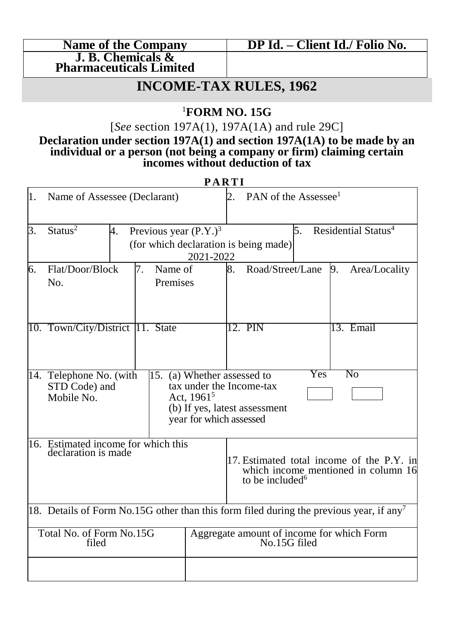| <b>Name of the Company</b>     |
|--------------------------------|
| J. B. Chemicals &              |
| <b>Pharmaceuticals Limited</b> |

## **INCOME-TAX RULES, 1962**

### <sup>1</sup>**FORM NO. 15G**

[*See* section 197A(1), 197A(1A) and rule 29C]

#### **Declaration under section 197A(1) and section 197A(1A) to be made by an individual or a person (not being a company or firm) claiming certain incomes without deduction of tax**

**P A R T I**

|                                                                                                     |                                                            |               | .                           |                                     |                                       |     |                                                           |
|-----------------------------------------------------------------------------------------------------|------------------------------------------------------------|---------------|-----------------------------|-------------------------------------|---------------------------------------|-----|-----------------------------------------------------------|
| 1.                                                                                                  | Name of Assessee (Declarant)                               |               | 2.                          | PAN of the Assessee <sup>1</sup>    |                                       |     |                                                           |
| 3.<br>Status <sup>2</sup><br>Previous year $(P.Y.)^3$<br>4.                                         |                                                            |               |                             |                                     |                                       | 5.  | Residential Status <sup>4</sup>                           |
|                                                                                                     |                                                            |               |                             |                                     | (for which declaration is being made) |     |                                                           |
|                                                                                                     |                                                            |               | 2021-2022                   |                                     |                                       |     |                                                           |
| 6.                                                                                                  | Flat/Door/Block                                            | 7.<br>Name of |                             | 8.                                  | Road/Street/Lane                      |     | 9.<br>Area/Locality                                       |
|                                                                                                     | No.                                                        | Premises      |                             |                                     |                                       |     |                                                           |
|                                                                                                     |                                                            |               |                             |                                     |                                       |     |                                                           |
|                                                                                                     | 10. Town/City/District 11. State                           |               |                             |                                     | 12. PIN                               |     | 13. Email                                                 |
|                                                                                                     |                                                            |               |                             |                                     |                                       |     |                                                           |
|                                                                                                     | 14. Telephone No. (with                                    |               | 15. (a) Whether assessed to |                                     |                                       | Yes | No                                                        |
|                                                                                                     | STD Code) and                                              |               |                             | tax under the Income-tax            |                                       |     |                                                           |
|                                                                                                     | Mobile No.                                                 |               | Act, $1961^5$               |                                     | (b) If yes, latest assessment         |     |                                                           |
|                                                                                                     |                                                            |               | year for which assessed     |                                     |                                       |     |                                                           |
|                                                                                                     |                                                            |               |                             |                                     |                                       |     |                                                           |
|                                                                                                     | 16. Estimated income for which this<br>declaration is made |               |                             |                                     |                                       |     |                                                           |
|                                                                                                     |                                                            |               |                             |                                     |                                       |     | 17. Estimated total income of the P.Y. in                 |
|                                                                                                     |                                                            |               |                             | which income mentioned in column 16 |                                       |     |                                                           |
|                                                                                                     |                                                            |               |                             |                                     | to be included <sup>6</sup>           |     |                                                           |
|                                                                                                     |                                                            |               |                             |                                     |                                       |     |                                                           |
| 18. Details of Form No.15G other than this form filed during the previous year, if any <sup>7</sup> |                                                            |               |                             |                                     |                                       |     |                                                           |
| Total No. of Form No.15G<br>filed                                                                   |                                                            |               |                             |                                     |                                       |     | Aggregate amount of income for which Form<br>No.15G filed |
|                                                                                                     |                                                            |               |                             |                                     |                                       |     |                                                           |
|                                                                                                     |                                                            |               |                             |                                     |                                       |     |                                                           |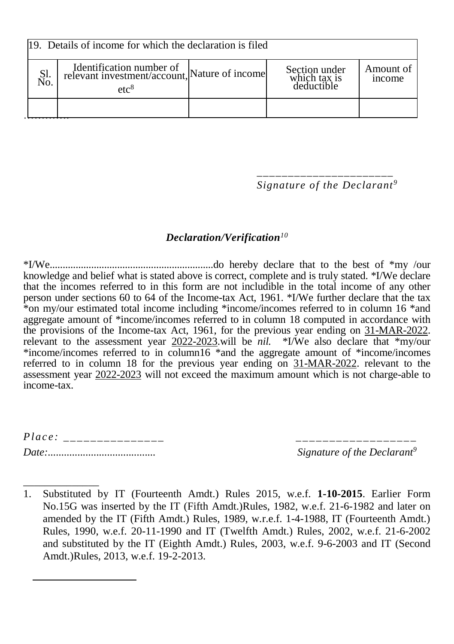| 119. Details of income for which the declaration is filed |                                                                                               |  |                                             |                     |  |  |
|-----------------------------------------------------------|-----------------------------------------------------------------------------------------------|--|---------------------------------------------|---------------------|--|--|
| Sl.<br>No.                                                | Identification number of<br>relevant investment/account, Nature of income<br>etc <sup>8</sup> |  | Section under<br>which tax is<br>deductible | Amount of<br>income |  |  |
|                                                           |                                                                                               |  |                                             |                     |  |  |

*\_\_\_\_\_\_\_\_\_\_\_\_\_\_\_\_\_\_\_\_\_\_ Signature of the Declarant<sup>9</sup>*

#### *Declaration/Verification<sup>10</sup>*

\*I/We...............................................................do hereby declare that to the best of \*my /our knowledge and belief what is stated above is correct, complete and is truly stated. \*I/We declare that the incomes referred to in this form are not includible in the total income of any other person under sections 60 to 64 of the Income-tax Act, 1961. \*I/We further declare that the tax \*on my/our estimated total income including \*income/incomes referred to in column 16 \*and aggregate amount of \*income/incomes referred to in column 18 computed in accordance with the provisions of the Income-tax Act, 1961, for the previous year ending on 31-MAR-2022. relevant to the assessment year 2022-2023.will be *nil.* \*I/We also declare that \*my/our \*income/incomes referred to in column16 \*and the aggregate amount of \*income/incomes referred to in column 18 for the previous year ending on 31-MAR-2022. relevant to the assessment year 2022-2023 will not exceed the maximum amount which is not charge-able to income-tax.

| Place: |                                         |
|--------|-----------------------------------------|
| Date:  | Signature of the Declarant <sup>s</sup> |

\_\_\_\_\_\_\_\_\_\_\_\_\_\_ 1. Substituted by IT (Fourteenth Amdt.) Rules 2015, w.e.f. **1-10-2015**. Earlier Form No.15G was inserted by the IT (Fifth Amdt.)Rules, 1982, w.e.f. 21-6-1982 and later on amended by the IT (Fifth Amdt.) Rules, 1989, w.r.e.f. 1-4-1988, IT (Fourteenth Amdt.) Rules, 1990, w.e.f. 20-11-1990 and IT (Twelfth Amdt.) Rules, 2002, w.e.f. 21-6-2002 and substituted by the IT (Eighth Amdt.) Rules, 2003, w.e.f. 9-6-2003 and IT (Second Amdt.)Rules, 2013, w.e.f. 19-2-2013.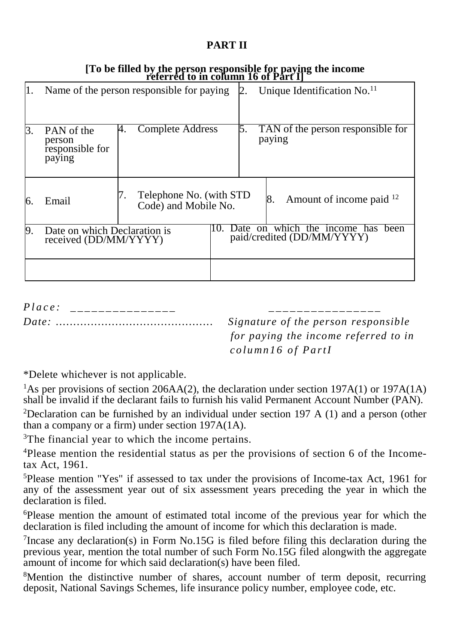#### **PART II**

|    | reichter to m column to off art f                     |                                                 |                                                                 |                                             |  |  |  |
|----|-------------------------------------------------------|-------------------------------------------------|-----------------------------------------------------------------|---------------------------------------------|--|--|--|
| Π. |                                                       | Name of the person responsible for paying       |                                                                 | Unique Identification No. <sup>11</sup>     |  |  |  |
| 3. | PAN of the<br>person<br>responsible for<br>paying     | Complete Address<br>4.                          | 5.                                                              | TAN of the person responsible for<br>paying |  |  |  |
| 6. | Email                                                 | Telephone No. (with STD<br>Code) and Mobile No. |                                                                 | Amount of income paid <sup>12</sup><br>8.   |  |  |  |
| 9. | Date on which Declaration is<br>received (DD/MM/YYYY) |                                                 | Date on which the income has been<br>paid/credited (DD/MM/YYYY) |                                             |  |  |  |
|    |                                                       |                                                 |                                                                 |                                             |  |  |  |

# [To be filled by the person responsible for paying the income<br>referred to in column 16 of Part I]

 $Place:$ 

*Date: ............................................. Signature of the person responsible for paying the income referred to in co lu mn 1 6 o f Pa r tI*

\*Delete whichever is not applicable.

<sup>1</sup>As per provisions of section 206AA(2), the declaration under section 197A(1) or 197A(1A) shall be invalid if the declarant fails to furnish his valid Permanent Account Number (PAN).

<sup>2</sup>Declaration can be furnished by an individual under section 197 A (1) and a person (other than a company or a firm) under section 197A(1A).

<sup>3</sup>The financial year to which the income pertains.

<sup>4</sup>Please mention the residential status as per the provisions of section 6 of the Incometax Act, 1961.

<sup>5</sup>Please mention "Yes" if assessed to tax under the provisions of Income-tax Act, 1961 for any of the assessment year out of six assessment years preceding the year in which the declaration is filed.

<sup>6</sup>Please mention the amount of estimated total income of the previous year for which the declaration is filed including the amount of income for which this declaration is made.

<sup>7</sup> Incase any declaration(s) in Form No.15G is filed before filing this declaration during the previous year, mention the total number of such Form No.15G filed alongwith the aggregate amount of income for which said declaration(s) have been filed.

<sup>8</sup>Mention the distinctive number of shares, account number of term deposit, recurring deposit, National Savings Schemes, life insurance policy number, employee code, etc.